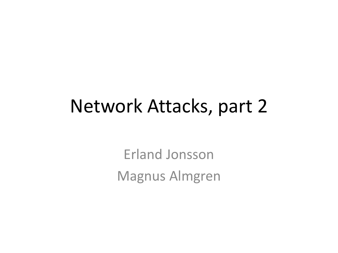#### Network Attacks, part 2

Erland Jonsson Magnus Almgren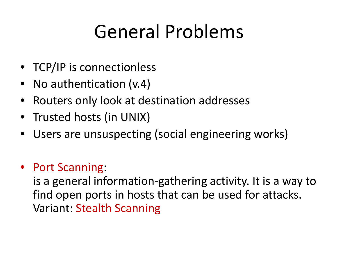## General Problems

- TCP/IP is connectionless
- No authentication (v.4)
- Routers only look at destination addresses
- Trusted hosts (in UNIX)
- Users are unsuspecting (social engineering works)
- Port Scanning:

is a general information-gathering activity. It is a way to find open ports in hosts that can be used for attacks. Variant: Stealth Scanning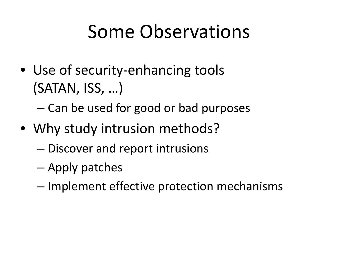## Some Observations

- Use of security-enhancing tools (SATAN, ISS, …)
	- Can be used for good or bad purposes
- Why study intrusion methods?
	- Discover and report intrusions
	- Apply patches
	- Implement effective protection mechanisms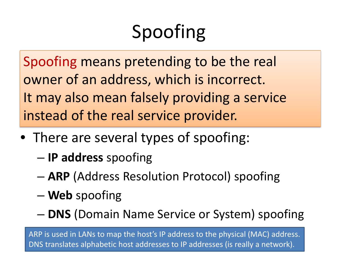# Spoofing

Spoofing means pretending to be the real owner of an address, which is incorrect. It may also mean falsely providing a service instead of the real service provider.

- There are several types of spoofing:
	- **IP address** spoofing
	- **ARP** (Address Resolution Protocol) spoofing
	- **Web** spoofing
	- **DNS** (Domain Name Service or System) spoofing

ARP is used in LANs to map the host's IP address to the physical (MAC) address. DNS translates alphabetic host addresses to IP addresses (is really a network).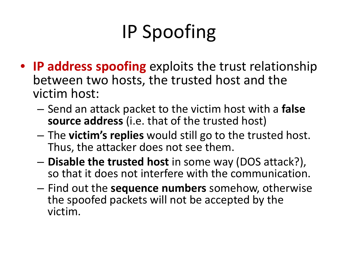# IP Spoofing

- **IP address spoofing** exploits the trust relationship between two hosts, the trusted host and the victim host:
	- Send an attack packet to the victim host with a **false source address** (i.e. that of the trusted host)
	- The **victim's replies** would still go to the trusted host. Thus, the attacker does not see them.
	- **Disable the trusted host** in some way (DOS attack?), so that it does not interfere with the communication.
	- Find out the **sequence numbers** somehow, otherwise the spoofed packets will not be accepted by the victim.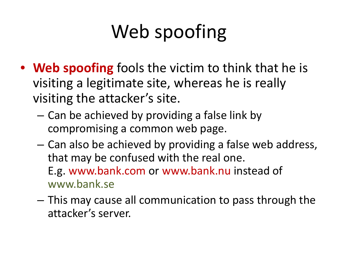# Web spoofing

- **Web spoofing** fools the victim to think that he is visiting a legitimate site, whereas he is really visiting the attacker's site.
	- Can be achieved by providing a false link by compromising a common web page.
	- Can also be achieved by providing a false web address, that may be confused with the real one. E.g. www.bank.com or www.bank.nu instead of www.bank.se
	- This may cause all communication to pass through the attacker's server.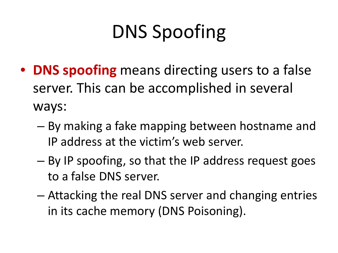# DNS Spoofing

- **DNS spoofing** means directing users to a false server. This can be accomplished in several ways:
	- By making a fake mapping between hostname and IP address at the victim's web server.
	- By IP spoofing, so that the IP address request goes to a false DNS server.
	- Attacking the real DNS server and changing entries in its cache memory (DNS Poisoning).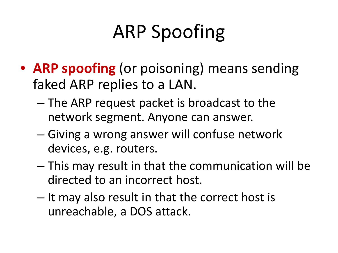# ARP Spoofing

- **ARP spoofing** (or poisoning) means sending faked ARP replies to a LAN.
	- The ARP request packet is broadcast to the network segment. Anyone can answer.
	- Giving a wrong answer will confuse network devices, e.g. routers.
	- This may result in that the communication will be directed to an incorrect host.
	- It may also result in that the correct host is unreachable, a DOS attack.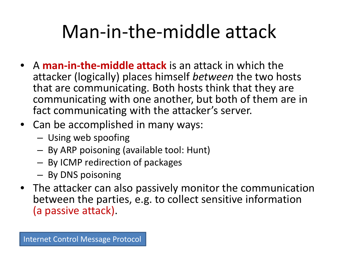## Man-in-the-middle attack

- A **man-in-the-middle attack** is an attack in which the attacker (logically) places himself *between* the two hosts that are communicating. Both hosts think that they are communicating with one another, but both of them are in fact communicating with the attacker's server.
- Can be accomplished in many ways:
	- Using web spoofing
	- By ARP poisoning (available tool: Hunt)
	- By ICMP redirection of packages
	- By DNS poisoning
- The attacker can also passively monitor the communication between the parties, e.g. to collect sensitive information (a passive attack).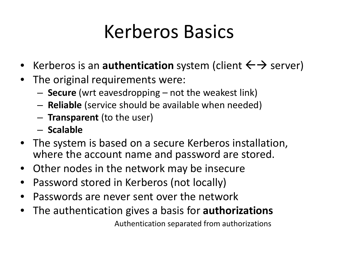## Kerberos Basics

- Kerberos is an **authentication** system (client  $\leftarrow$  > server)
- The original requirements were:
	- **Secure** (wrt eavesdropping not the weakest link)
	- **Reliable** (service should be available when needed)
	- **Transparent** (to the user)
	- **Scalable**
- The system is based on a secure Kerberos installation, where the account name and password are stored.
- Other nodes in the network may be insecure
- Password stored in Kerberos (not locally)
- Passwords are never sent over the network
- The authentication gives a basis for **authorizations**

Authentication separated from authorizations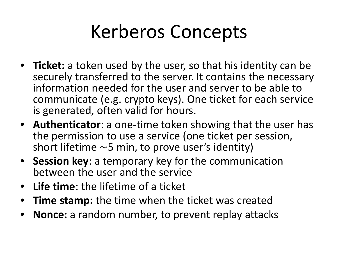## Kerberos Concepts

- **Ticket:** a token used by the user, so that his identity can be securely transferred to the server. It contains the necessary information needed for the user and server to be able to communicate (e.g. crypto keys). One ticket for each service is generated, often valid for hours.
- **Authenticator**: a one-time token showing that the user has the permission to use a service (one ticket per session, short lifetime  $\sim$ 5 min, to prove user's identity)
- **Session key**: a temporary key for the communication between the user and the service
- **Life time**: the lifetime of a ticket
- **Time stamp:** the time when the ticket was created
- **Nonce:** a random number, to prevent replay attacks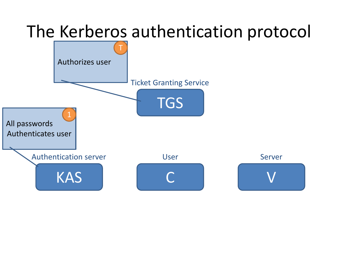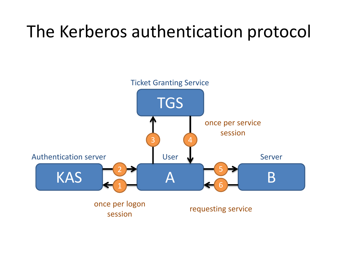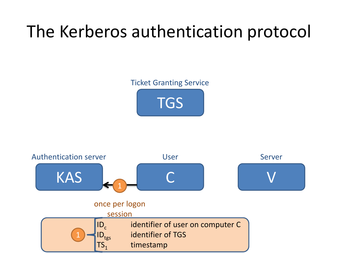#### Ticket Granting Service



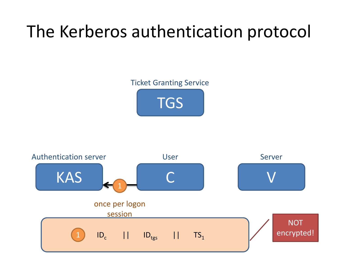#### Ticket Granting Service



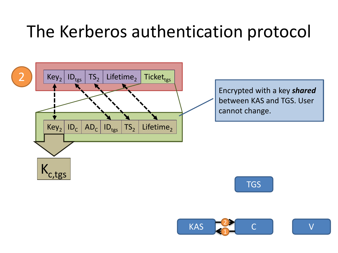

Encrypted with a key *shared* between KAS and TGS. User cannot change.



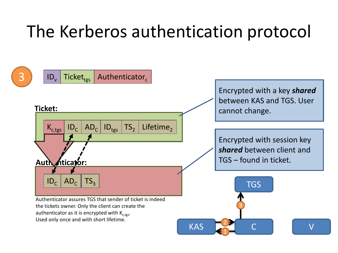